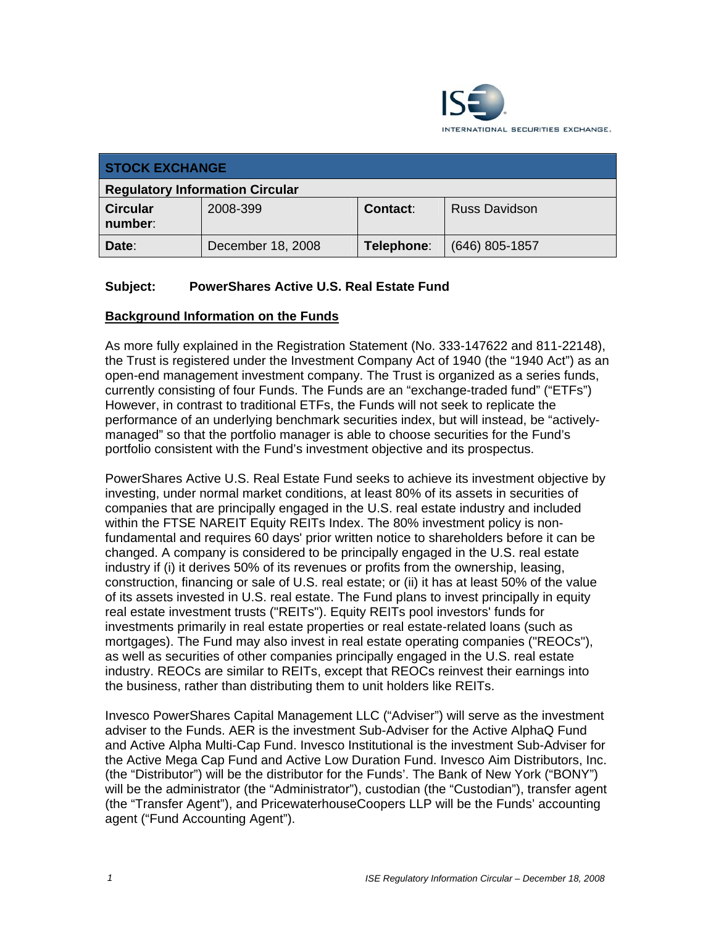

| <b>STOCK EXCHANGE</b>                  |                   |            |                      |
|----------------------------------------|-------------------|------------|----------------------|
| <b>Regulatory Information Circular</b> |                   |            |                      |
| <b>Circular</b><br>number:             | 2008-399          | Contact:   | <b>Russ Davidson</b> |
| Date:                                  | December 18, 2008 | Telephone: | $(646)$ 805-1857     |

# **Subject: PowerShares Active U.S. Real Estate Fund**

### **Background Information on the Funds**

As more fully explained in the Registration Statement (No. 333-147622 and 811-22148), the Trust is registered under the Investment Company Act of 1940 (the "1940 Act") as an open-end management investment company. The Trust is organized as a series funds, currently consisting of four Funds. The Funds are an "exchange-traded fund" ("ETFs") However, in contrast to traditional ETFs, the Funds will not seek to replicate the performance of an underlying benchmark securities index, but will instead, be "activelymanaged" so that the portfolio manager is able to choose securities for the Fund's portfolio consistent with the Fund's investment objective and its prospectus.

PowerShares Active U.S. Real Estate Fund seeks to achieve its investment objective by investing, under normal market conditions, at least 80% of its assets in securities of companies that are principally engaged in the U.S. real estate industry and included within the FTSE NAREIT Equity REITs Index. The 80% investment policy is nonfundamental and requires 60 days' prior written notice to shareholders before it can be changed. A company is considered to be principally engaged in the U.S. real estate industry if (i) it derives 50% of its revenues or profits from the ownership, leasing, construction, financing or sale of U.S. real estate; or (ii) it has at least 50% of the value of its assets invested in U.S. real estate. The Fund plans to invest principally in equity real estate investment trusts ("REITs"). Equity REITs pool investors' funds for investments primarily in real estate properties or real estate-related loans (such as mortgages). The Fund may also invest in real estate operating companies ("REOCs"), as well as securities of other companies principally engaged in the U.S. real estate industry. REOCs are similar to REITs, except that REOCs reinvest their earnings into the business, rather than distributing them to unit holders like REITs.

Invesco PowerShares Capital Management LLC ("Adviser") will serve as the investment adviser to the Funds. AER is the investment Sub-Adviser for the Active AlphaQ Fund and Active Alpha Multi-Cap Fund. Invesco Institutional is the investment Sub-Adviser for the Active Mega Cap Fund and Active Low Duration Fund. Invesco Aim Distributors, Inc. (the "Distributor") will be the distributor for the Funds'. The Bank of New York ("BONY") will be the administrator (the "Administrator"), custodian (the "Custodian"), transfer agent (the "Transfer Agent"), and PricewaterhouseCoopers LLP will be the Funds' accounting agent ("Fund Accounting Agent").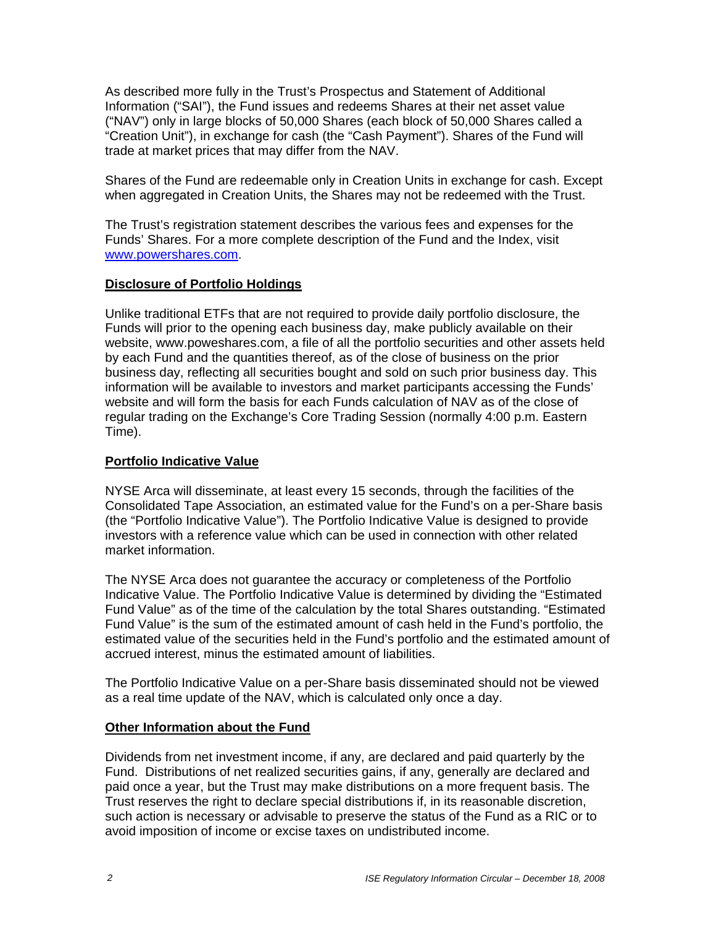As described more fully in the Trust's Prospectus and Statement of Additional Information ("SAI"), the Fund issues and redeems Shares at their net asset value ("NAV") only in large blocks of 50,000 Shares (each block of 50,000 Shares called a "Creation Unit"), in exchange for cash (the "Cash Payment"). Shares of the Fund will trade at market prices that may differ from the NAV.

Shares of the Fund are redeemable only in Creation Units in exchange for cash. Except when aggregated in Creation Units, the Shares may not be redeemed with the Trust.

The Trust's registration statement describes the various fees and expenses for the Funds' Shares. For a more complete description of the Fund and the Index, visit www.powershares.com.

# **Disclosure of Portfolio Holdings**

Unlike traditional ETFs that are not required to provide daily portfolio disclosure, the Funds will prior to the opening each business day, make publicly available on their website, www.poweshares.com, a file of all the portfolio securities and other assets held by each Fund and the quantities thereof, as of the close of business on the prior business day, reflecting all securities bought and sold on such prior business day. This information will be available to investors and market participants accessing the Funds' website and will form the basis for each Funds calculation of NAV as of the close of regular trading on the Exchange's Core Trading Session (normally 4:00 p.m. Eastern Time).

### **Portfolio Indicative Value**

NYSE Arca will disseminate, at least every 15 seconds, through the facilities of the Consolidated Tape Association, an estimated value for the Fund's on a per-Share basis (the "Portfolio Indicative Value"). The Portfolio Indicative Value is designed to provide investors with a reference value which can be used in connection with other related market information.

The NYSE Arca does not guarantee the accuracy or completeness of the Portfolio Indicative Value. The Portfolio Indicative Value is determined by dividing the "Estimated Fund Value" as of the time of the calculation by the total Shares outstanding. "Estimated Fund Value" is the sum of the estimated amount of cash held in the Fund's portfolio, the estimated value of the securities held in the Fund's portfolio and the estimated amount of accrued interest, minus the estimated amount of liabilities.

The Portfolio Indicative Value on a per-Share basis disseminated should not be viewed as a real time update of the NAV, which is calculated only once a day.

# **Other Information about the Fund**

Dividends from net investment income, if any, are declared and paid quarterly by the Fund. Distributions of net realized securities gains, if any, generally are declared and paid once a year, but the Trust may make distributions on a more frequent basis. The Trust reserves the right to declare special distributions if, in its reasonable discretion, such action is necessary or advisable to preserve the status of the Fund as a RIC or to avoid imposition of income or excise taxes on undistributed income.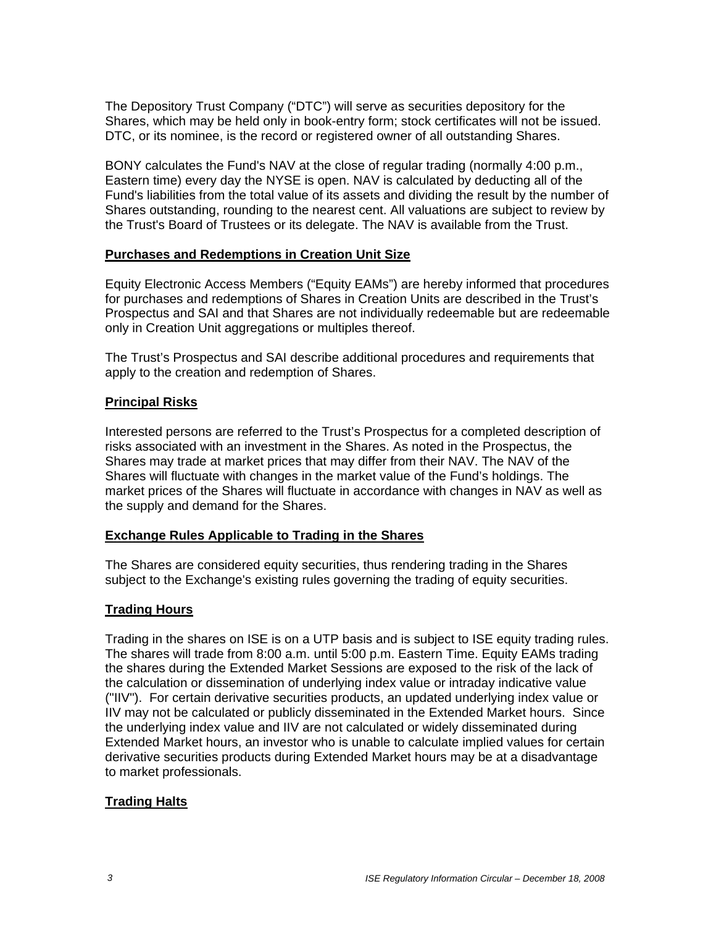The Depository Trust Company ("DTC") will serve as securities depository for the Shares, which may be held only in book-entry form; stock certificates will not be issued. DTC, or its nominee, is the record or registered owner of all outstanding Shares.

BONY calculates the Fund's NAV at the close of regular trading (normally 4:00 p.m., Eastern time) every day the NYSE is open. NAV is calculated by deducting all of the Fund's liabilities from the total value of its assets and dividing the result by the number of Shares outstanding, rounding to the nearest cent. All valuations are subject to review by the Trust's Board of Trustees or its delegate. The NAV is available from the Trust.

### **Purchases and Redemptions in Creation Unit Size**

Equity Electronic Access Members ("Equity EAMs") are hereby informed that procedures for purchases and redemptions of Shares in Creation Units are described in the Trust's Prospectus and SAI and that Shares are not individually redeemable but are redeemable only in Creation Unit aggregations or multiples thereof.

The Trust's Prospectus and SAI describe additional procedures and requirements that apply to the creation and redemption of Shares.

# **Principal Risks**

Interested persons are referred to the Trust's Prospectus for a completed description of risks associated with an investment in the Shares. As noted in the Prospectus, the Shares may trade at market prices that may differ from their NAV. The NAV of the Shares will fluctuate with changes in the market value of the Fund's holdings. The market prices of the Shares will fluctuate in accordance with changes in NAV as well as the supply and demand for the Shares.

#### **Exchange Rules Applicable to Trading in the Shares**

The Shares are considered equity securities, thus rendering trading in the Shares subject to the Exchange's existing rules governing the trading of equity securities.

# **Trading Hours**

Trading in the shares on ISE is on a UTP basis and is subject to ISE equity trading rules. The shares will trade from 8:00 a.m. until 5:00 p.m. Eastern Time. Equity EAMs trading the shares during the Extended Market Sessions are exposed to the risk of the lack of the calculation or dissemination of underlying index value or intraday indicative value ("IIV"). For certain derivative securities products, an updated underlying index value or IIV may not be calculated or publicly disseminated in the Extended Market hours. Since the underlying index value and IIV are not calculated or widely disseminated during Extended Market hours, an investor who is unable to calculate implied values for certain derivative securities products during Extended Market hours may be at a disadvantage to market professionals.

# **Trading Halts**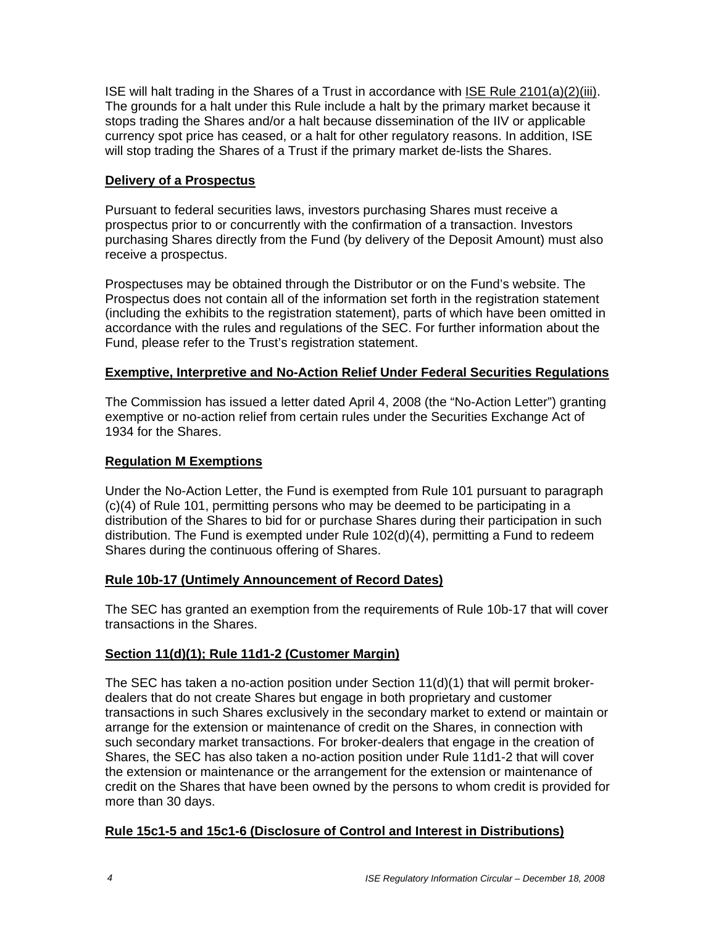ISE will halt trading in the Shares of a Trust in accordance with ISE Rule 2101(a)(2)(iii). The grounds for a halt under this Rule include a halt by the primary market because it stops trading the Shares and/or a halt because dissemination of the IIV or applicable currency spot price has ceased, or a halt for other regulatory reasons. In addition, ISE will stop trading the Shares of a Trust if the primary market de-lists the Shares.

# **Delivery of a Prospectus**

Pursuant to federal securities laws, investors purchasing Shares must receive a prospectus prior to or concurrently with the confirmation of a transaction. Investors purchasing Shares directly from the Fund (by delivery of the Deposit Amount) must also receive a prospectus.

Prospectuses may be obtained through the Distributor or on the Fund's website. The Prospectus does not contain all of the information set forth in the registration statement (including the exhibits to the registration statement), parts of which have been omitted in accordance with the rules and regulations of the SEC. For further information about the Fund, please refer to the Trust's registration statement.

### **Exemptive, Interpretive and No-Action Relief Under Federal Securities Regulations**

The Commission has issued a letter dated April 4, 2008 (the "No-Action Letter") granting exemptive or no-action relief from certain rules under the Securities Exchange Act of 1934 for the Shares.

### **Regulation M Exemptions**

Under the No-Action Letter, the Fund is exempted from Rule 101 pursuant to paragraph (c)(4) of Rule 101, permitting persons who may be deemed to be participating in a distribution of the Shares to bid for or purchase Shares during their participation in such distribution. The Fund is exempted under Rule 102(d)(4), permitting a Fund to redeem Shares during the continuous offering of Shares.

#### **Rule 10b-17 (Untimely Announcement of Record Dates)**

The SEC has granted an exemption from the requirements of Rule 10b-17 that will cover transactions in the Shares.

#### **Section 11(d)(1); Rule 11d1-2 (Customer Margin)**

The SEC has taken a no-action position under Section  $11(d)(1)$  that will permit brokerdealers that do not create Shares but engage in both proprietary and customer transactions in such Shares exclusively in the secondary market to extend or maintain or arrange for the extension or maintenance of credit on the Shares, in connection with such secondary market transactions. For broker-dealers that engage in the creation of Shares, the SEC has also taken a no-action position under Rule 11d1-2 that will cover the extension or maintenance or the arrangement for the extension or maintenance of credit on the Shares that have been owned by the persons to whom credit is provided for more than 30 days.

# **Rule 15c1-5 and 15c1-6 (Disclosure of Control and Interest in Distributions)**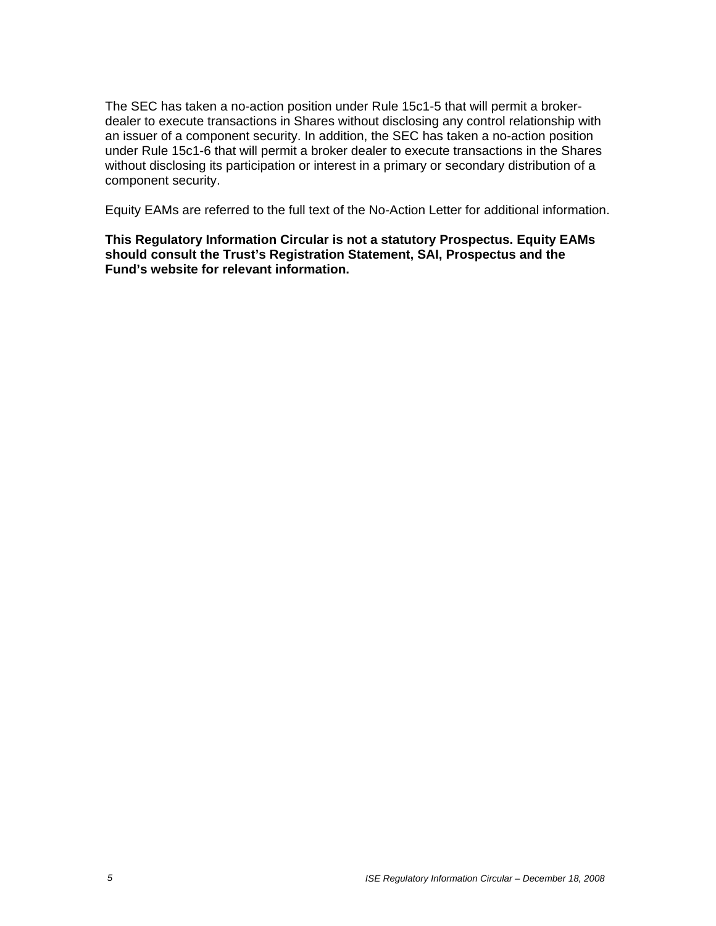The SEC has taken a no-action position under Rule 15c1-5 that will permit a brokerdealer to execute transactions in Shares without disclosing any control relationship with an issuer of a component security. In addition, the SEC has taken a no-action position under Rule 15c1-6 that will permit a broker dealer to execute transactions in the Shares without disclosing its participation or interest in a primary or secondary distribution of a component security.

Equity EAMs are referred to the full text of the No-Action Letter for additional information.

**This Regulatory Information Circular is not a statutory Prospectus. Equity EAMs should consult the Trust's Registration Statement, SAI, Prospectus and the Fund's website for relevant information.**